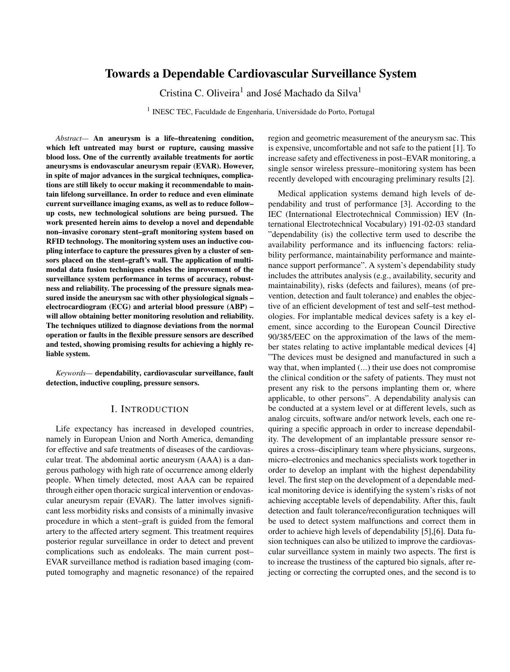# Towards a Dependable Cardiovascular Surveillance System

Cristina C. Oliveira<sup>1</sup> and José Machado da Silva<sup>1</sup>

<sup>1</sup> INESC TEC, Faculdade de Engenharia, Universidade do Porto, Portugal

*Abstract—* An aneurysm is a life–threatening condition, which left untreated may burst or rupture, causing massive blood loss. One of the currently available treatments for aortic aneurysms is endovascular aneurysm repair (EVAR). However, in spite of major advances in the surgical techniques, complications are still likely to occur making it recommendable to maintain lifelong surveillance. In order to reduce and even eliminate current surveillance imaging exams, as well as to reduce follow– up costs, new technological solutions are being pursued. The work presented herein aims to develop a novel and dependable non–invasive coronary stent–graft monitoring system based on RFID technology. The monitoring system uses an inductive coupling interface to capture the pressures given by a cluster of sensors placed on the stent–graft's wall. The application of multimodal data fusion techniques enables the improvement of the surveillance system performance in terms of accuracy, robustness and reliability. The processing of the pressure signals measured inside the aneurysm sac with other physiological signals – electrocardiogram (ECG) and arterial blood pressure (ABP) – will allow obtaining better monitoring resolution and reliability. The techniques utilized to diagnose deviations from the normal operation or faults in the flexible pressure sensors are described and tested, showing promising results for achieving a highly reliable system.

*Keywords—* dependability, cardiovascular surveillance, fault detection, inductive coupling, pressure sensors.

### I. INTRODUCTION

Life expectancy has increased in developed countries, namely in European Union and North America, demanding for effective and safe treatments of diseases of the cardiovascular treat. The abdominal aortic aneurysm (AAA) is a dangerous pathology with high rate of occurrence among elderly people. When timely detected, most AAA can be repaired through either open thoracic surgical intervention or endovascular aneurysm repair (EVAR). The latter involves significant less morbidity risks and consists of a minimally invasive procedure in which a stent–graft is guided from the femoral artery to the affected artery segment. This treatment requires posterior regular surveillance in order to detect and prevent complications such as endoleaks. The main current post– EVAR surveillance method is radiation based imaging (computed tomography and magnetic resonance) of the repaired

region and geometric measurement of the aneurysm sac. This is expensive, uncomfortable and not safe to the patient [1]. To increase safety and effectiveness in post–EVAR monitoring, a single sensor wireless pressure–monitoring system has been recently developed with encouraging preliminary results [2].

Medical application systems demand high levels of dependability and trust of performance [3]. According to the IEC (International Electrotechnical Commission) IEV (International Electrotechnical Vocabulary) 191-02-03 standard "dependability (is) the collective term used to describe the availability performance and its influencing factors: reliability performance, maintainability performance and maintenance support performance". A system's dependability study includes the attributes analysis (e.g., availability, security and maintainability), risks (defects and failures), means (of prevention, detection and fault tolerance) and enables the objective of an efficient development of test and self–test methodologies. For implantable medical devices safety is a key element, since according to the European Council Directive 90/385/EEC on the approximation of the laws of the member states relating to active implantable medical devices [4] "The devices must be designed and manufactured in such a way that, when implanted (...) their use does not compromise the clinical condition or the safety of patients. They must not present any risk to the persons implanting them or, where applicable, to other persons". A dependability analysis can be conducted at a system level or at different levels, such as analog circuits, software and/or network levels, each one requiring a specific approach in order to increase dependability. The development of an implantable pressure sensor requires a cross–disciplinary team where physicians, surgeons, micro–electronics and mechanics specialists work together in order to develop an implant with the highest dependability level. The first step on the development of a dependable medical monitoring device is identifying the system's risks of not achieving acceptable levels of dependability. After this, fault detection and fault tolerance/reconfiguration techniques will be used to detect system malfunctions and correct them in order to achieve high levels of dependability [5],[6]. Data fusion techniques can also be utilized to improve the cardiovascular surveillance system in mainly two aspects. The first is to increase the trustiness of the captured bio signals, after rejecting or correcting the corrupted ones, and the second is to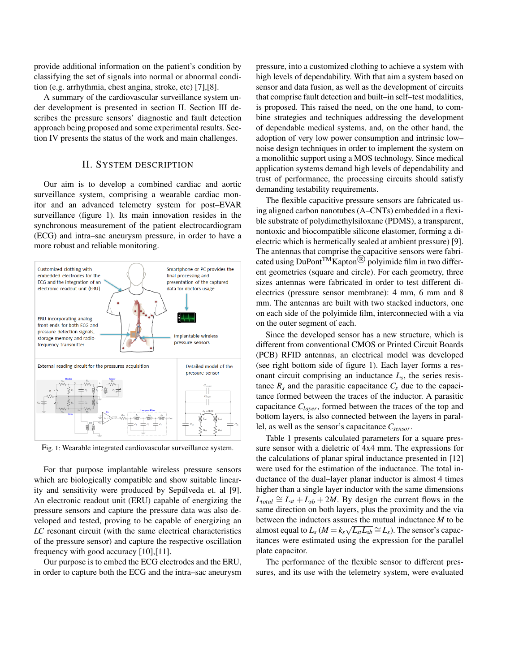provide additional information on the patient's condition by classifying the set of signals into normal or abnormal condition (e.g. arrhythmia, chest angina, stroke, etc) [7],[8].

A summary of the cardiovascular surveillance system under development is presented in section II. Section III describes the pressure sensors' diagnostic and fault detection approach being proposed and some experimental results. Section IV presents the status of the work and main challenges.

## II. SYSTEM DESCRIPTION

Our aim is to develop a combined cardiac and aortic surveillance system, comprising a wearable cardiac monitor and an advanced telemetry system for post–EVAR surveillance (figure 1). Its main innovation resides in the synchronous measurement of the patient electrocardiogram (ECG) and intra–sac aneurysm pressure, in order to have a more robust and reliable monitoring.



Fig. 1: Wearable integrated cardiovascular surveillance system.

For that purpose implantable wireless pressure sensors which are biologically compatible and show suitable linearity and sensitivity were produced by Sepulveda et. al [9]. An electronic readout unit (ERU) capable of energizing the pressure sensors and capture the pressure data was also developed and tested, proving to be capable of energizing an *LC* resonant circuit (with the same electrical characteristics of the pressure sensor) and capture the respective oscillation frequency with good accuracy [10],[11].

Our purpose is to embed the ECG electrodes and the ERU, in order to capture both the ECG and the intra–sac aneurysm pressure, into a customized clothing to achieve a system with high levels of dependability. With that aim a system based on sensor and data fusion, as well as the development of circuits that comprise fault detection and built–in self–test modalities, is proposed. This raised the need, on the one hand, to combine strategies and techniques addressing the development of dependable medical systems, and, on the other hand, the adoption of very low power consumption and intrinsic low– noise design techniques in order to implement the system on a monolithic support using a MOS technology. Since medical application systems demand high levels of dependability and trust of performance, the processing circuits should satisfy demanding testability requirements.

The flexible capacitive pressure sensors are fabricated using aligned carbon nanotubes (A–CNTs) embedded in a flexible substrate of polydimethylsiloxane (PDMS), a transparent, nontoxic and biocompatible silicone elastomer, forming a dielectric which is hermetically sealed at ambient pressure) [9]. The antennas that comprise the capacitive sensors were fabricated using DuPont<sup>TM</sup>Kapton<sup>®</sup> polyimide film in two different geometries (square and circle). For each geometry, three sizes antennas were fabricated in order to test different dielectrics (pressure sensor membrane): 4 mm, 6 mm and 8 mm. The antennas are built with two stacked inductors, one on each side of the polyimide film, interconnected with a via on the outer segment of each.

Since the developed sensor has a new structure, which is different from conventional CMOS or Printed Circuit Boards (PCB) RFID antennas, an electrical model was developed (see right bottom side of figure 1). Each layer forms a resonant circuit comprising an inductance  $L_s$ , the series resistance  $R_s$  and the parasitic capacitance  $C_s$  due to the capacitance formed between the traces of the inductor. A parasitic capacitance *Clayer*, formed between the traces of the top and bottom layers, is also connected between the layers in parallel, as well as the sensor's capacitance *Csensor*.

Table 1 presents calculated parameters for a square pressure sensor with a dieletric of 4x4 mm. The expressions for the calculations of planar spiral inductance presented in [12] were used for the estimation of the inductance. The total inductance of the dual–layer planar inductor is almost 4 times higher than a single layer inductor with the same dimensions  $L_{total} \cong L_{st} + L_{sb} + 2M$ . By design the current flows in the same direction on both layers, plus the proximity and the via between the inductors assures the mutual inductance  $M$  to be almost equal to  $L_s$  ( $M = k_s \sqrt{L_{st}L_{sb}} \cong L_s$ ). The sensor's capacitances were estimated using the expression for the parallel plate capacitor.

The performance of the flexible sensor to different pressures, and its use with the telemetry system, were evaluated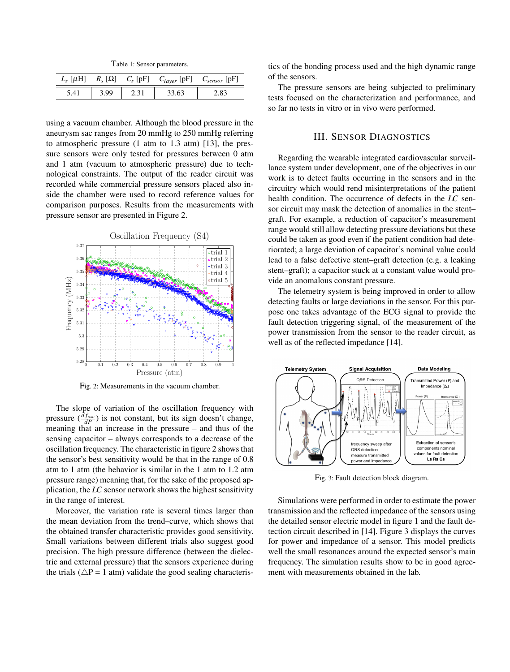Table 1: Sensor parameters.

| $L_s$ [ $\mu$ H] |      | $R_s [\Omega]$ $C_s [pF]$ $C_{layer} [pF]$ $C_{sensor} [pF]$ |      |
|------------------|------|--------------------------------------------------------------|------|
|                  | 3.99 |                                                              | :.83 |

using a vacuum chamber. Although the blood pressure in the aneurysm sac ranges from 20 mmHg to 250 mmHg referring to atmospheric pressure (1 atm to 1.3 atm) [13], the pressure sensors were only tested for pressures between 0 atm and 1 atm (vacuum to atmospheric pressure) due to technological constraints. The output of the reader circuit was recorded while commercial pressure sensors placed also inside the chamber were used to record reference values for comparison purposes. Results from the measurements with pressure sensor are presented in Figure 2.



Fig. 2: Measurements in the vacuum chamber.

The slope of variation of the oscillation frequency with pressure  $(\frac{df_{osc}}{dP})$  is not constant, but its sign doesn't change, meaning that an increase in the pressure – and thus of the sensing capacitor – always corresponds to a decrease of the oscillation frequency. The characteristic in figure 2 shows that the sensor's best sensitivity would be that in the range of 0.8 atm to 1 atm (the behavior is similar in the 1 atm to 1.2 atm pressure range) meaning that, for the sake of the proposed application, the *LC* sensor network shows the highest sensitivity in the range of interest.

Moreover, the variation rate is several times larger than the mean deviation from the trend–curve, which shows that the obtained transfer characteristic provides good sensitivity. Small variations between different trials also suggest good precision. The high pressure difference (between the dielectric and external pressure) that the sensors experience during the trials ( $\triangle P = 1$  atm) validate the good sealing characteristics of the bonding process used and the high dynamic range of the sensors.

The pressure sensors are being subjected to preliminary tests focused on the characterization and performance, and so far no tests in vitro or in vivo were performed.

#### III. SENSOR DIAGNOSTICS

Regarding the wearable integrated cardiovascular surveillance system under development, one of the objectives in our work is to detect faults occurring in the sensors and in the circuitry which would rend misinterpretations of the patient health condition. The occurrence of defects in the *LC* sensor circuit may mask the detection of anomalies in the stent– graft. For example, a reduction of capacitor's measurement range would still allow detecting pressure deviations but these could be taken as good even if the patient condition had deteriorated; a large deviation of capacitor's nominal value could lead to a false defective stent–graft detection (e.g. a leaking stent–graft); a capacitor stuck at a constant value would provide an anomalous constant pressure.

The telemetry system is being improved in order to allow detecting faults or large deviations in the sensor. For this purpose one takes advantage of the ECG signal to provide the fault detection triggering signal, of the measurement of the power transmission from the sensor to the reader circuit, as well as of the reflected impedance [14].



Fig. 3: Fault detection block diagram.

Simulations were performed in order to estimate the power transmission and the reflected impedance of the sensors using the detailed sensor electric model in figure 1 and the fault detection circuit described in [14]. Figure 3 displays the curves for power and impedance of a sensor. This model predicts well the small resonances around the expected sensor's main frequency. The simulation results show to be in good agreement with measurements obtained in the lab.